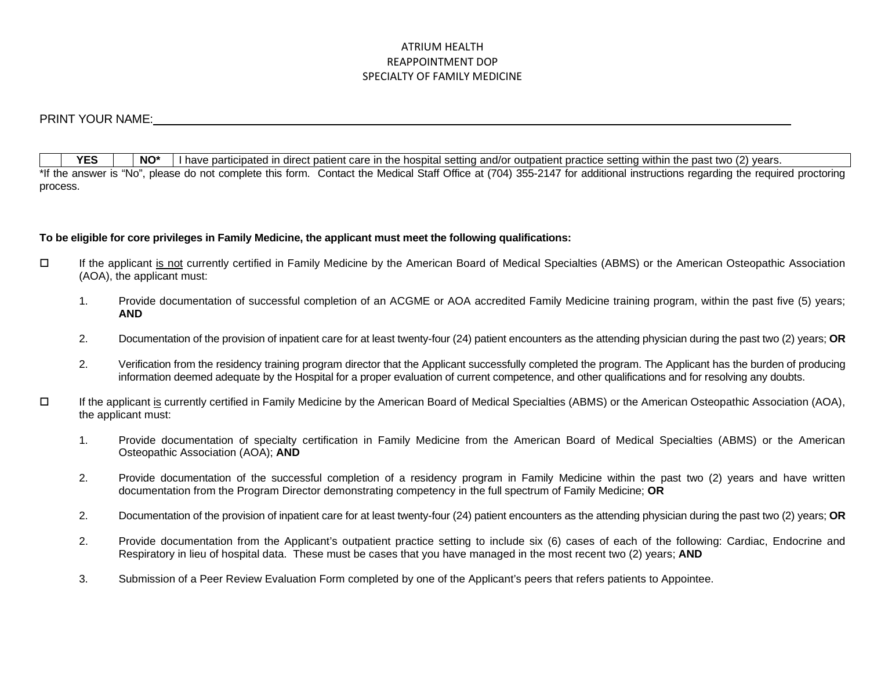# ATRIUM HEALTH REAPPOINTMENT DOP SPECIALTY OF FAMILY MEDICINE

# PRINT YOUR NAME:

**YES**  $\vert \cdot \vert$  **NO\*** I have participated in direct patient care in the hospital setting and/or outpatient practice setting within the past two (2) years. \*If the answer is "No", please do not complete this form. Contact the Medical Staff Office at (704) 355-2147 for additional instructions regarding the required proctoring process.

# **To be eligible for core privileges in Family Medicine, the applicant must meet the following qualifications:**

- If the applicant is not currently certified in Family Medicine by the American Board of Medical Specialties (ABMS) or the American Osteopathic Association (AOA), the applicant must:
	- 1. Provide documentation of successful completion of an ACGME or AOA accredited Family Medicine training program, within the past five (5) years; **AND**
	- 2. Documentation of the provision of inpatient care for at least twenty-four (24) patient encounters as the attending physician during the past two (2) years; **OR**
	- 2. Verification from the residency training program director that the Applicant successfully completed the program. The Applicant has the burden of producing information deemed adequate by the Hospital for a proper evaluation of current competence, and other qualifications and for resolving any doubts.
- If the applicant is currently certified in Family Medicine by the American Board of Medical Specialties (ABMS) or the American Osteopathic Association (AOA), the applicant must:
	- 1. Provide documentation of specialty certification in Family Medicine from the American Board of Medical Specialties (ABMS) or the American Osteopathic Association (AOA); **AND**
	- 2. Provide documentation of the successful completion of a residency program in Family Medicine within the past two (2) years and have written documentation from the Program Director demonstrating competency in the full spectrum of Family Medicine; **OR**
	- 2. Documentation of the provision of inpatient care for at least twenty-four (24) patient encounters as the attending physician during the past two (2) years; **OR**
	- 2. Provide documentation from the Applicant's outpatient practice setting to include six (6) cases of each of the following: Cardiac, Endocrine and Respiratory in lieu of hospital data. These must be cases that you have managed in the most recent two (2) years; **AND**
	- 3. Submission of a Peer Review Evaluation Form completed by one of the Applicant's peers that refers patients to Appointee.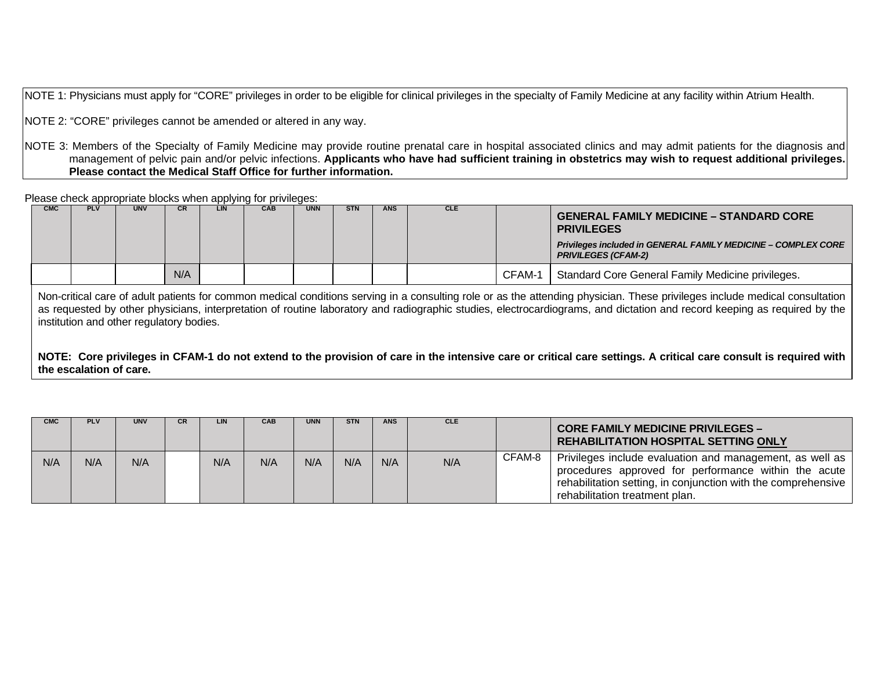NOTE 1: Physicians must apply for "CORE" privileges in order to be eligible for clinical privileges in the specialty of Family Medicine at any facility within Atrium Health.

NOTE 2: "CORE" privileges cannot be amended or altered in any way.

NOTE 3: Members of the Specialty of Family Medicine may provide routine prenatal care in hospital associated clinics and may admit patients for the diagnosis and management of pelvic pain and/or pelvic infections. **Applicants who have had sufficient training in obstetrics may wish to request additional privileges. Please contact the Medical Staff Office for further information.**

Please check appropriate blocks when applying for privileges:

| <b>CMC</b> | <b>PLV</b> | <b>UNV</b> | CR. | LIN | CAB | <b>UNN</b> | <b>STN</b> | <b>ANS</b> | <b>CLE</b> |        | <b>GENERAL FAMILY MEDICINE - STANDARD CORE</b><br><b>PRIVILEGES</b><br>Privileges included in GENERAL FAMILY MEDICINE - COMPLEX CORE<br><b>PRIVILEGES (CFAM-2)</b> |
|------------|------------|------------|-----|-----|-----|------------|------------|------------|------------|--------|--------------------------------------------------------------------------------------------------------------------------------------------------------------------|
|            |            |            | N/A |     |     |            |            |            |            | CFAM-1 | Standard Core General Family Medicine privileges.                                                                                                                  |

Non-critical care of adult patients for common medical conditions serving in a consulting role or as the attending physician. These privileges include medical consultation as requested by other physicians, interpretation of routine laboratory and radiographic studies, electrocardiograms, and dictation and record keeping as required by the institution and other regulatory bodies.

**NOTE: Core privileges in CFAM-1 do not extend to the provision of care in the intensive care or critical care settings. A critical care consult is required with the escalation of care.**

| <b>CMC</b> | <b>PLV</b> | <b>UNV</b> | <b>CR</b> | LIN | <b>CAB</b> | <b>UNN</b> | <b>STN</b> | <b>ANS</b> | <b>CLE</b> |        | <b>CORE FAMILY MEDICINE PRIVILEGES -</b><br><b>REHABILITATION HOSPITAL SETTING ONLY</b>                                                                                                                             |
|------------|------------|------------|-----------|-----|------------|------------|------------|------------|------------|--------|---------------------------------------------------------------------------------------------------------------------------------------------------------------------------------------------------------------------|
| N/A        | N/A        | N/A        |           | N/A | N/A        | N/A        | N/A        | N/A        | N/A        | CFAM-8 | Privileges include evaluation and management, as well as<br>procedures approved for performance within the acute<br>rehabilitation setting, in conjunction with the comprehensive<br>rehabilitation treatment plan. |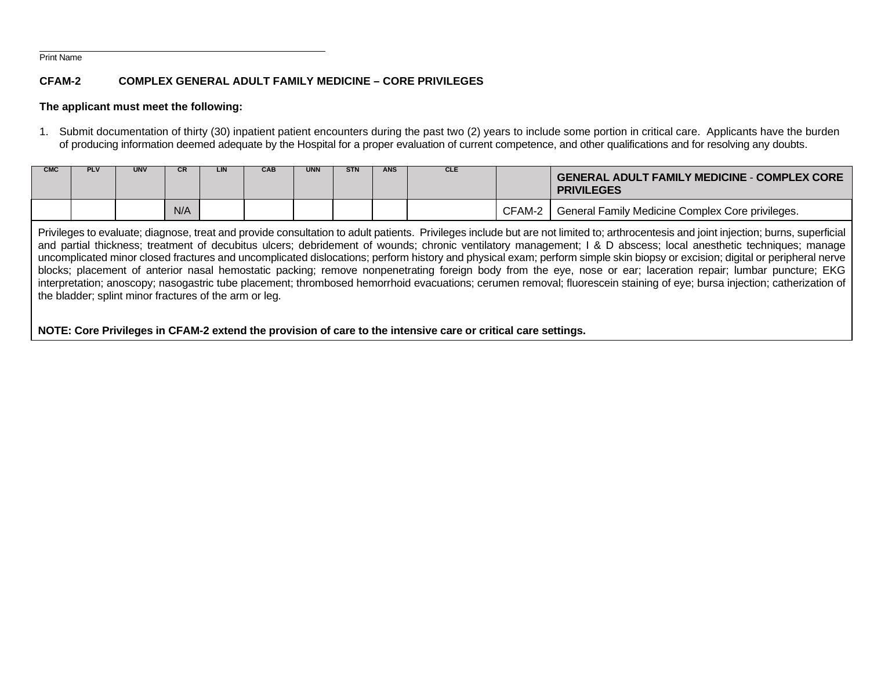#### Print Name

# **CFAM-2 COMPLEX GENERAL ADULT FAMILY MEDICINE – CORE PRIVILEGES**

# **The applicant must meet the following:**

1. Submit documentation of thirty (30) inpatient patient encounters during the past two (2) years to include some portion in critical care. Applicants have the burden of producing information deemed adequate by the Hospital for a proper evaluation of current competence, and other qualifications and for resolving any doubts.

| <b>CMC</b> | <b>PLV</b> | <b>UNV</b> | СR  | LIN | CAB | <b>UNN</b> | <b>STN</b> | <b>ANS</b> | <b>CLE</b> |        | <b>GENERAL ADULT FAMILY MEDICINE - COMPLEX CORE</b><br><b>PRIVILEGES</b> |
|------------|------------|------------|-----|-----|-----|------------|------------|------------|------------|--------|--------------------------------------------------------------------------|
|            |            |            | N/A |     |     |            |            |            |            | CFAM-2 | General Family Medicine Complex Core privileges.                         |

Privileges to evaluate; diagnose, treat and provide consultation to adult patients. Privileges include but are not limited to; arthrocentesis and joint injection; burns, superficial and partial thickness; treatment of decubitus ulcers; debridement of wounds; chronic ventilatory management; I & D abscess; local anesthetic techniques; manage uncomplicated minor closed fractures and uncomplicated dislocations; perform history and physical exam; perform simple skin biopsy or excision; digital or peripheral nerve blocks; placement of anterior nasal hemostatic packing; remove nonpenetrating foreign body from the eye, nose or ear; laceration repair; lumbar puncture; EKG interpretation; anoscopy; nasogastric tube placement; thrombosed hemorrhoid evacuations; cerumen removal; fluorescein staining of eye; bursa injection; catherization of the bladder; splint minor fractures of the arm or leg.

**NOTE: Core Privileges in CFAM-2 extend the provision of care to the intensive care or critical care settings.**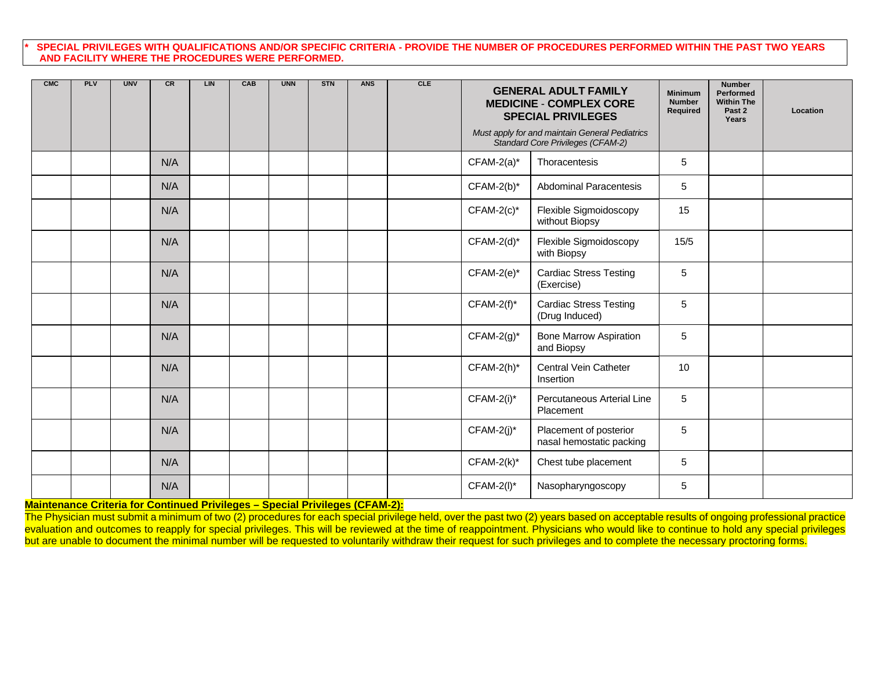#### **\* SPECIAL PRIVILEGES WITH QUALIFICATIONS AND/OR SPECIFIC CRITERIA - PROVIDE THE NUMBER OF PROCEDURES PERFORMED WITHIN THE PAST TWO YEARS AND FACILITY WHERE THE PROCEDURES WERE PERFORMED.**

| <b>CMC</b> | <b>PLV</b> | <b>UNV</b> | <b>CR</b> | LIN | CAB | <b>UNN</b> | <b>STN</b> | <b>ANS</b> | <b>CLE</b> |               | <b>GENERAL ADULT FAMILY</b><br><b>MEDICINE - COMPLEX CORE</b><br><b>SPECIAL PRIVILEGES</b> | <b>Minimum</b><br><b>Number</b><br>Required | <b>Number</b><br>Performed<br><b>Within The</b><br>Past 2<br>Years | Location |
|------------|------------|------------|-----------|-----|-----|------------|------------|------------|------------|---------------|--------------------------------------------------------------------------------------------|---------------------------------------------|--------------------------------------------------------------------|----------|
|            |            |            |           |     |     |            |            |            |            |               | Must apply for and maintain General Pediatrics<br>Standard Core Privileges (CFAM-2)        |                                             |                                                                    |          |
|            |            |            | N/A       |     |     |            |            |            |            | $CFAM-2(a)^*$ | Thoracentesis                                                                              | 5                                           |                                                                    |          |
|            |            |            | N/A       |     |     |            |            |            |            | $CFAM-2(b)^*$ | Abdominal Paracentesis                                                                     | $\sqrt{5}$                                  |                                                                    |          |
|            |            |            | N/A       |     |     |            |            |            |            | $CFAM-2(c)^*$ | Flexible Sigmoidoscopy<br>without Biopsy                                                   | 15                                          |                                                                    |          |
|            |            |            | N/A       |     |     |            |            |            |            | $CFAM-2(d)^*$ | Flexible Sigmoidoscopy<br>with Biopsy                                                      | 15/5                                        |                                                                    |          |
|            |            |            | N/A       |     |     |            |            |            |            | $CFAM-2(e)^*$ | <b>Cardiac Stress Testing</b><br>(Exercise)                                                | 5                                           |                                                                    |          |
|            |            |            | N/A       |     |     |            |            |            |            | $CFAM-2(f)^*$ | <b>Cardiac Stress Testing</b><br>(Drug Induced)                                            | 5                                           |                                                                    |          |
|            |            |            | N/A       |     |     |            |            |            |            | $CFAM-2(g)^*$ | <b>Bone Marrow Aspiration</b><br>and Biopsy                                                | 5                                           |                                                                    |          |
|            |            |            | N/A       |     |     |            |            |            |            | $CFAM-2(h)^*$ | Central Vein Catheter<br>Insertion                                                         | 10                                          |                                                                    |          |
|            |            |            | N/A       |     |     |            |            |            |            | CFAM-2(i)*    | Percutaneous Arterial Line<br>Placement                                                    | 5                                           |                                                                    |          |
|            |            |            | N/A       |     |     |            |            |            |            | $CFAM-2(j)^*$ | Placement of posterior<br>nasal hemostatic packing                                         | 5                                           |                                                                    |          |
|            |            |            | N/A       |     |     |            |            |            |            | $CFAM-2(k)^*$ | Chest tube placement                                                                       | 5                                           |                                                                    |          |
|            |            |            | N/A       |     |     |            |            |            |            | $CFAM-2(I)^*$ | Nasopharyngoscopy                                                                          | 5                                           |                                                                    |          |

**Maintenance Criteria for Continued Privileges – Special Privileges (CFAM-2):**

The Physician must submit a minimum of two (2) procedures for each special privilege held, over the past two (2) years based on acceptable results of ongoing professional practice evaluation and outcomes to reapply for special privileges. This will be reviewed at the time of reappointment. Physicians who would like to continue to hold any special privileges but are unable to document the minimal number will be requested to voluntarily withdraw their request for such privileges and to complete the necessary proctoring forms.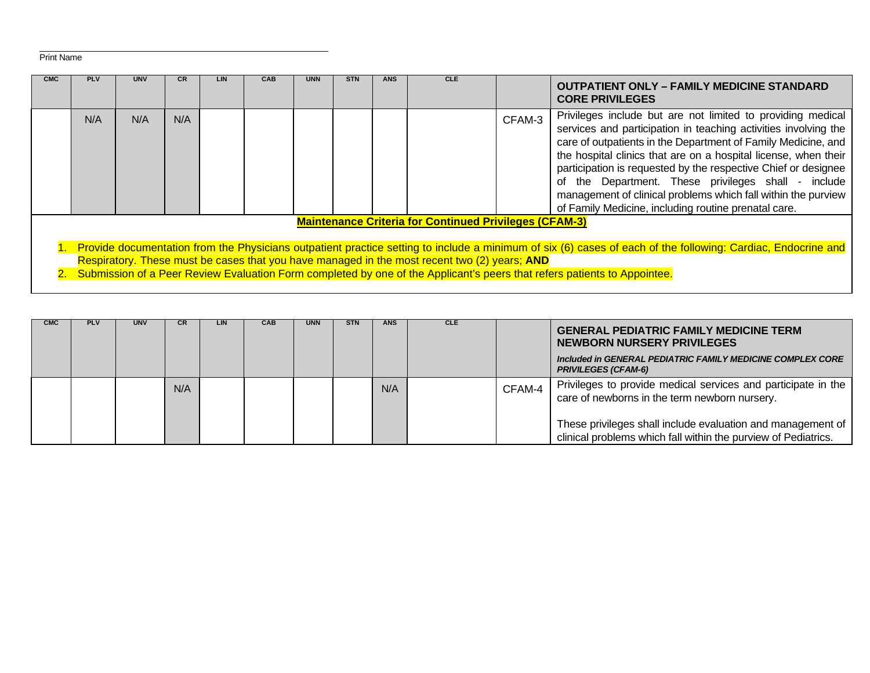## Print Name

| <b>CMC</b> | <b>PLV</b>                                                                                                                                                                                                                                                                                                                                                                                     | <b>UNV</b> | <b>CR</b> | <b>LIN</b> | <b>CAB</b> | <b>UNN</b> | <b>STN</b> | <b>ANS</b> | <b>CLE</b>                                                    |        | <b>OUTPATIENT ONLY – FAMILY MEDICINE STANDARD</b><br><b>CORE PRIVILEGES</b>                                                                                                                                                                                                                                                                                                                                                                                                                                             |
|------------|------------------------------------------------------------------------------------------------------------------------------------------------------------------------------------------------------------------------------------------------------------------------------------------------------------------------------------------------------------------------------------------------|------------|-----------|------------|------------|------------|------------|------------|---------------------------------------------------------------|--------|-------------------------------------------------------------------------------------------------------------------------------------------------------------------------------------------------------------------------------------------------------------------------------------------------------------------------------------------------------------------------------------------------------------------------------------------------------------------------------------------------------------------------|
|            | N/A                                                                                                                                                                                                                                                                                                                                                                                            | N/A        | N/A       |            |            |            |            |            |                                                               | CFAM-3 | Privileges include but are not limited to providing medical<br>services and participation in teaching activities involving the<br>care of outpatients in the Department of Family Medicine, and<br>the hospital clinics that are on a hospital license, when their<br>participation is requested by the respective Chief or designee<br>the Department. These privileges shall - include<br>of<br>management of clinical problems which fall within the purview<br>of Family Medicine, including routine prenatal care. |
|            |                                                                                                                                                                                                                                                                                                                                                                                                |            |           |            |            |            |            |            | <b>Maintenance Criteria for Continued Privileges (CFAM-3)</b> |        |                                                                                                                                                                                                                                                                                                                                                                                                                                                                                                                         |
|            | 1. Provide documentation from the Physicians outpatient practice setting to include a minimum of six (6) cases of each of the following: Cardiac, Endocrine and<br>Respiratory. These must be cases that you have managed in the most recent two (2) years; AND<br>2. Submission of a Peer Review Evaluation Form completed by one of the Applicant's peers that refers patients to Appointee. |            |           |            |            |            |            |            |                                                               |        |                                                                                                                                                                                                                                                                                                                                                                                                                                                                                                                         |

| <b>CMC</b> | <b>PLV</b> | <b>UNV</b> | CR. | LIN | CAB | <b>UNN</b> | <b>STN</b> | <b>ANS</b> | <b>CLE</b> |        | <b>GENERAL PEDIATRIC FAMILY MEDICINE TERM</b><br>NEWBORN NURSERY PRIVILEGES<br>Included in GENERAL PEDIATRIC FAMILY MEDICINE COMPLEX CORE<br><b>PRIVILEGES (CFAM-6)</b>                                                                         |
|------------|------------|------------|-----|-----|-----|------------|------------|------------|------------|--------|-------------------------------------------------------------------------------------------------------------------------------------------------------------------------------------------------------------------------------------------------|
|            |            |            | N/A |     |     |            |            | N/A        |            | CFAM-4 | Privileges to provide medical services and participate in the<br>care of newborns in the term newborn nursery.<br>These privileges shall include evaluation and management of<br>clinical problems which fall within the purview of Pediatrics. |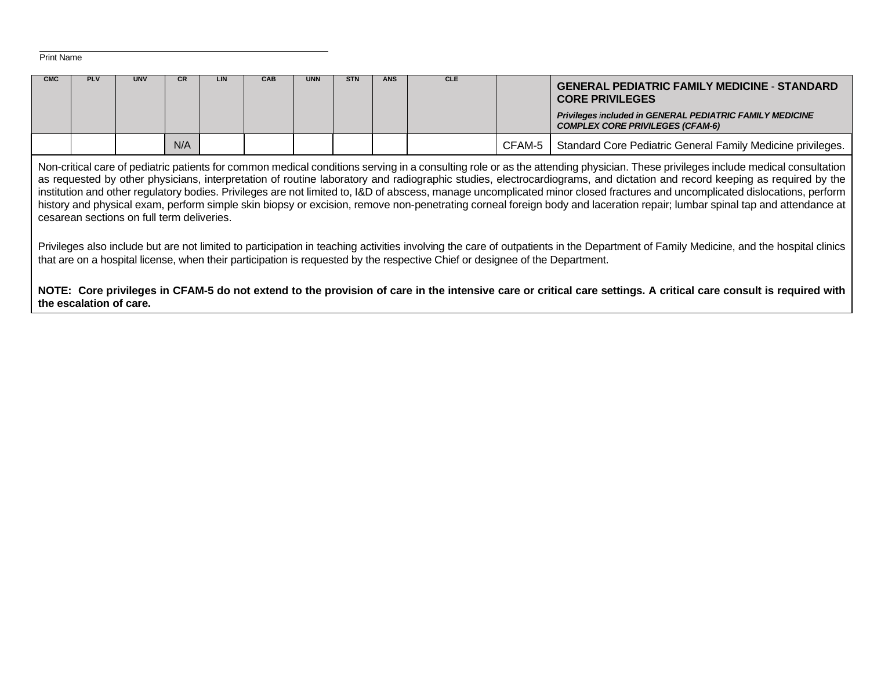```
 Print Name
```

| <b>CMC</b> | <b>PLV</b>              | <b>UNV</b>                                 | CR. | LIN | <b>CAB</b> | <b>UNN</b> | <b>STN</b> | <b>ANS</b> | <b>CLE</b>                                                                                                                   |        | <b>GENERAL PEDIATRIC FAMILY MEDICINE - STANDARD</b><br><b>CORE PRIVILEGES</b><br>Privileges included in GENERAL PEDIATRIC FAMILY MEDICINE<br><b>COMPLEX CORE PRIVILEGES (CFAM-6)</b>                                                                                                                                                                                                                                                                                                                                                                                                                                                                                                                                    |
|------------|-------------------------|--------------------------------------------|-----|-----|------------|------------|------------|------------|------------------------------------------------------------------------------------------------------------------------------|--------|-------------------------------------------------------------------------------------------------------------------------------------------------------------------------------------------------------------------------------------------------------------------------------------------------------------------------------------------------------------------------------------------------------------------------------------------------------------------------------------------------------------------------------------------------------------------------------------------------------------------------------------------------------------------------------------------------------------------------|
|            |                         |                                            | N/A |     |            |            |            |            |                                                                                                                              | CFAM-5 | Standard Core Pediatric General Family Medicine privileges.                                                                                                                                                                                                                                                                                                                                                                                                                                                                                                                                                                                                                                                             |
|            |                         | cesarean sections on full term deliveries. |     |     |            |            |            |            |                                                                                                                              |        | Non-critical care of pediatric patients for common medical conditions serving in a consulting role or as the attending physician. These privileges include medical consultation<br>as requested by other physicians, interpretation of routine laboratory and radiographic studies, electrocardiograms, and dictation and record keeping as required by the<br>institution and other regulatory bodies. Privileges are not limited to, I&D of abscess, manage uncomplicated minor closed fractures and uncomplicated dislocations, perform<br>history and physical exam, perform simple skin biopsy or excision, remove non-penetrating corneal foreign body and laceration repair; lumbar spinal tap and attendance at |
|            |                         |                                            |     |     |            |            |            |            | that are on a hospital license, when their participation is requested by the respective Chief or designee of the Department. |        | Privileges also include but are not limited to participation in teaching activities involving the care of outpatients in the Department of Family Medicine, and the hospital clinics                                                                                                                                                                                                                                                                                                                                                                                                                                                                                                                                    |
|            | the escalation of care. |                                            |     |     |            |            |            |            |                                                                                                                              |        | NOTE: Core privileges in CFAM-5 do not extend to the provision of care in the intensive care or critical care settings. A critical care consult is required with                                                                                                                                                                                                                                                                                                                                                                                                                                                                                                                                                        |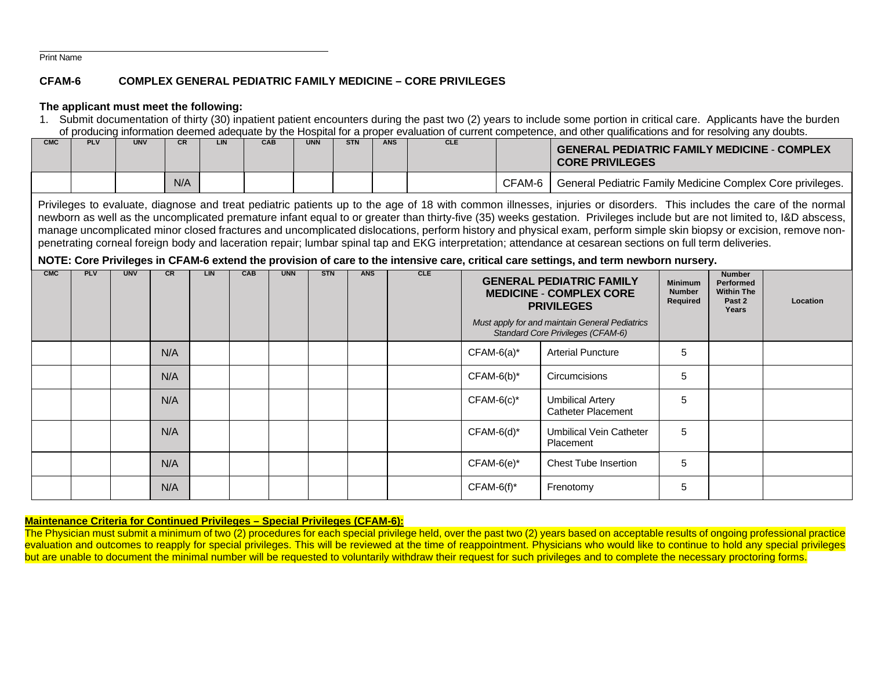Print Name

# **CFAM-6 COMPLEX GENERAL PEDIATRIC FAMILY MEDICINE – CORE PRIVILEGES**

## **The applicant must meet the following:**

1. Submit documentation of thirty (30) inpatient patient encounters during the past two (2) years to include some portion in critical care. Applicants have the burden of producing information deemed adequate by the Hospital for a proper evaluation of current competence, and other qualifications and for resolving any doubts.

| CMC | PLV | <b>UNV</b> | <b>CR</b> | LIN | CAB | <b>UNN</b> | <b>STN</b> | <b>ANS</b> | <b>CLE</b> |        | <b>GENERAL PEDIATRIC FAMILY MEDICINE - COMPLEX</b><br><b>CORE PRIVILEGES</b> |
|-----|-----|------------|-----------|-----|-----|------------|------------|------------|------------|--------|------------------------------------------------------------------------------|
|     |     |            | N/A       |     |     |            |            |            |            | CFAM-6 | General Pediatric Family Medicine Complex Core privileges.                   |

Privileges to evaluate, diagnose and treat pediatric patients up to the age of 18 with common illnesses, injuries or disorders. This includes the care of the normal newborn as well as the uncomplicated premature infant equal to or greater than thirty-five (35) weeks gestation. Privileges include but are not limited to, I&D abscess, manage uncomplicated minor closed fractures and uncomplicated dislocations, perform history and physical exam, perform simple skin biopsy or excision, remove nonpenetrating corneal foreign body and laceration repair; lumbar spinal tap and EKG interpretation; attendance at cesarean sections on full term deliveries.

# **NOTE: Core Privileges in CFAM-6 extend the provision of care to the intensive care, critical care settings, and term newborn nursery.**

| <b>CMC</b> | PLV | <b>UNV</b> | <b>CR</b> | <b>LIN</b> | <b>CAB</b> | <b>UNN</b> | <b>STN</b> | <b>ANS</b> | CLE |               | <b>GENERAL PEDIATRIC FAMILY</b><br><b>MEDICINE - COMPLEX CORE</b><br><b>PRIVILEGES</b><br>Must apply for and maintain General Pediatrics<br>Standard Core Privileges (CFAM-6) | <b>Minimum</b><br><b>Number</b><br>Required | <b>Number</b><br>Performed<br><b>Within The</b><br>Past 2<br>Years | Location |
|------------|-----|------------|-----------|------------|------------|------------|------------|------------|-----|---------------|-------------------------------------------------------------------------------------------------------------------------------------------------------------------------------|---------------------------------------------|--------------------------------------------------------------------|----------|
|            |     |            | N/A       |            |            |            |            |            |     | $CFAM-6(a)^*$ | <b>Arterial Puncture</b>                                                                                                                                                      | 5                                           |                                                                    |          |
|            |     |            | N/A       |            |            |            |            |            |     | $CFAM-6(b)^*$ | Circumcisions                                                                                                                                                                 | 5                                           |                                                                    |          |
|            |     |            | N/A       |            |            |            |            |            |     | $CFAM-6(c)*$  | <b>Umbilical Artery</b><br><b>Catheter Placement</b>                                                                                                                          | 5                                           |                                                                    |          |
|            |     |            | N/A       |            |            |            |            |            |     | $CFAM-6(d)^*$ | <b>Umbilical Vein Catheter</b><br>Placement                                                                                                                                   | 5                                           |                                                                    |          |
|            |     |            | N/A       |            |            |            |            |            |     | $CFAM-6(e)^*$ | <b>Chest Tube Insertion</b>                                                                                                                                                   | 5                                           |                                                                    |          |
|            |     |            | N/A       |            |            |            |            |            |     | $CFAM-6(f)^*$ | Frenotomy                                                                                                                                                                     | 5                                           |                                                                    |          |

## **Maintenance Criteria for Continued Privileges – Special Privileges (CFAM-6):**

The Physician must submit a minimum of two (2) procedures for each special privilege held, over the past two (2) years based on acceptable results of ongoing professional practice evaluation and outcomes to reapply for special privileges. This will be reviewed at the time of reappointment. Physicians who would like to continue to hold any special privileges but are unable to document the minimal number will be requested to voluntarily withdraw their request for such privileges and to complete the necessary proctoring forms.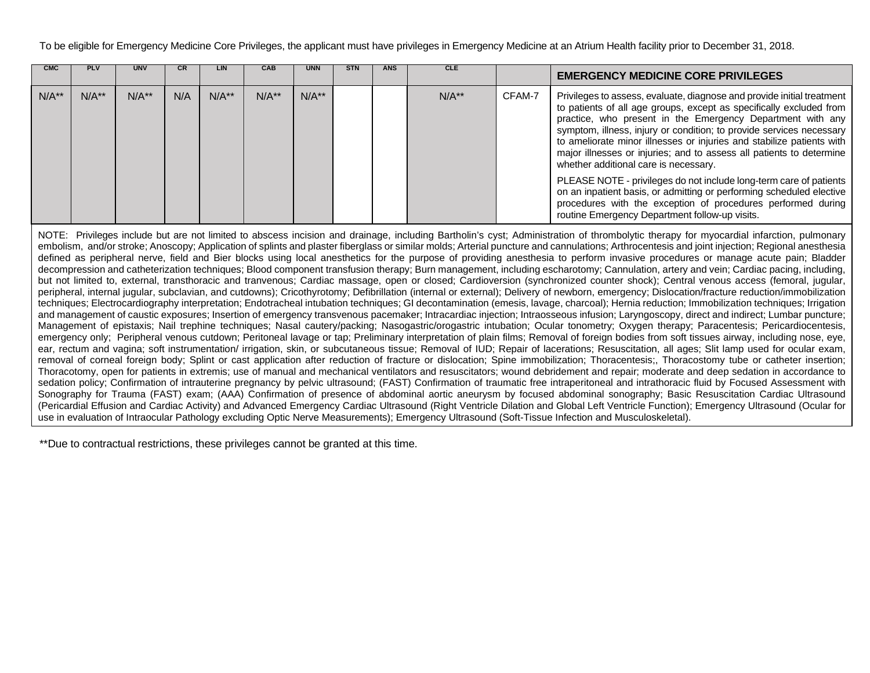To be eligible for Emergency Medicine Core Privileges, the applicant must have privileges in Emergency Medicine at an Atrium Health facility prior to December 31, 2018.

| <b>CMC</b> | <b>PLV</b> | <b>UNV</b> |     | LIN     | <b>CAB</b> | <b>UNN</b> | <b>STN</b> | <b>ANS</b> | <b>CLE</b> |        | <b>EMERGENCY MEDICINE CORE PRIVILEGES</b>                                                                                                                                                                                                                                                                                                                                                                                                                                                                                                                                                                                                                                                   |
|------------|------------|------------|-----|---------|------------|------------|------------|------------|------------|--------|---------------------------------------------------------------------------------------------------------------------------------------------------------------------------------------------------------------------------------------------------------------------------------------------------------------------------------------------------------------------------------------------------------------------------------------------------------------------------------------------------------------------------------------------------------------------------------------------------------------------------------------------------------------------------------------------|
| $N/A**$    | $N/A**$    | $N/A**$    | N/A | $N/A**$ | $N/A**$    | $N/A**$    |            |            | $N/A**$    | CFAM-7 | Privileges to assess, evaluate, diagnose and provide initial treatment<br>to patients of all age groups, except as specifically excluded from<br>practice, who present in the Emergency Department with any<br>symptom, illness, injury or condition; to provide services necessary<br>to ameliorate minor illnesses or injuries and stabilize patients with<br>major illnesses or injuries; and to assess all patients to determine<br>whether additional care is necessary.<br>PLEASE NOTE - privileges do not include long-term care of patients<br>on an inpatient basis, or admitting or performing scheduled elective<br>procedures with the exception of procedures performed during |
|            |            |            |     |         |            |            |            |            |            |        | routine Emergency Department follow-up visits.                                                                                                                                                                                                                                                                                                                                                                                                                                                                                                                                                                                                                                              |
|            |            |            |     |         |            |            |            |            |            |        | NOTE: Privileges include but are not limited to abscess incision and drainage, including Bartholin's cyst; Administration of thrombolytic therapy for myocardial infarction, pulmonary<br>embolism, and/or stroke; Anoscopy; Application of splints and plaster fiberglass or similar molds; Arterial puncture and cannulations; Arthrocentesis and joint injection; Regional anesthesia<br>defined as peripheral nerve, field and Bier blocks using local anesthetics for the purpose of providing anesthesia to perform invasive procedures or manage acute pain; Bladder                                                                                                                 |

defined as peripheral nerve, field and Bier blocks using local anesthetics for the purpose of providing anesthesia to perform invasive procedures or manage acute pain; Bladder decompression and catheterization techniques; Blood component transfusion therapy; Burn management, including escharotomy; Cannulation, artery and vein; Cardiac pacing, including, but not limited to, external, transthoracic and tranvenous; Cardiac massage, open or closed; Cardioversion (synchronized counter shock); Central venous access (femoral, jugular, peripheral, internal jugular, subclavian, and cutdowns); Cricothyrotomy; Defibrillation (internal or external); Delivery of newborn, emergency; Dislocation/fracture reduction/immobilization techniques; Electrocardiography interpretation; Endotracheal intubation techniques; GI decontamination (emesis, lavage, charcoal); Hernia reduction; Immobilization techniques; Irrigation and management of caustic exposures; Insertion of emergency transvenous pacemaker; Intracardiac injection; Intraosseous infusion; Laryngoscopy, direct and indirect; Lumbar puncture; Management of epistaxis; Nail trephine techniques; Nasal cautery/packing; Nasogastric/orogastric intubation; Ocular tonometry; Oxygen therapy; Paracentesis; Pericardiocentesis, emergency only; Peripheral venous cutdown; Peritoneal lavage or tap; Preliminary interpretation of plain films; Removal of foreign bodies from soft tissues airway, including nose, eye, ear, rectum and vagina; soft instrumentation/ irrigation, skin, or subcutaneous tissue; Removal of IUD; Repair of lacerations; Resuscitation, all ages; Slit lamp used for ocular exam, removal of corneal foreign body: Splint or cast application after reduction of fracture or dislocation; Spine immobilization; Thoracentesis;, Thoracostomy tube or catheter insertion; Thoracotomy, open for patients in extremis; use of manual and mechanical ventilators and resuscitators; wound debridement and repair; moderate and deep sedation in accordance to sedation policy; Confirmation of intrauterine pregnancy by pelvic ultrasound; (FAST) Confirmation of traumatic free intraperitoneal and intrathoracic fluid by Focused Assessment with Sonography for Trauma (FAST) exam; (AAA) Confirmation of presence of abdominal aortic aneurysm by focused abdominal sonography; Basic Resuscitation Cardiac Ultrasound (Pericardial Effusion and Cardiac Activity) and Advanced Emergency Cardiac Ultrasound (Right Ventricle Dilation and Global Left Ventricle Function); Emergency Ultrasound (Ocular for use in evaluation of Intraocular Pathology excluding Optic Nerve Measurements); Emergency Ultrasound (Soft-Tissue Infection and Musculoskeletal).

\*\*Due to contractual restrictions, these privileges cannot be granted at this time.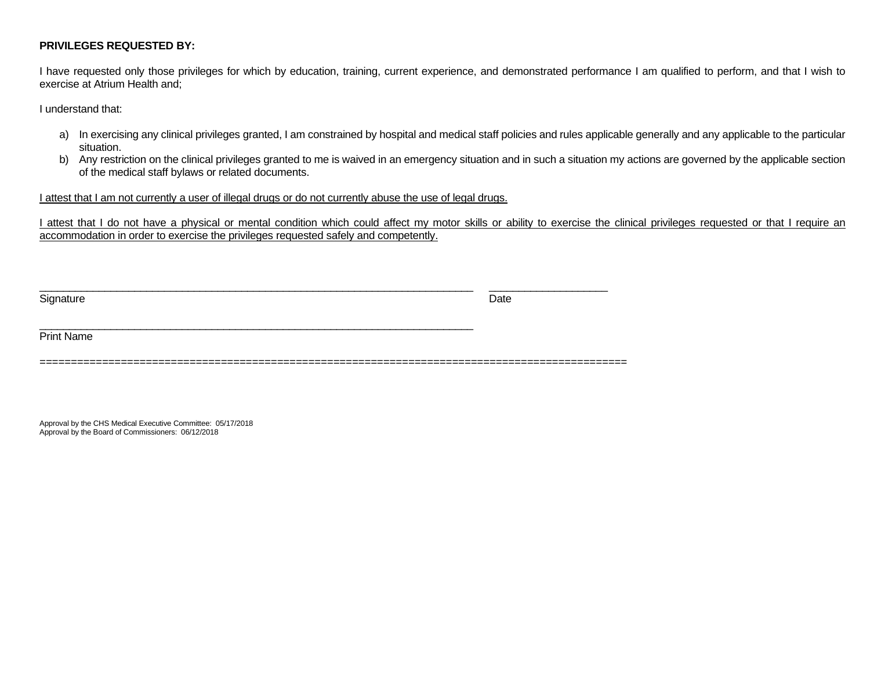# **PRIVILEGES REQUESTED BY:**

I have requested only those privileges for which by education, training, current experience, and demonstrated performance I am qualified to perform, and that I wish to exercise at Atrium Health and;

I understand that:

- a) In exercising any clinical privileges granted, I am constrained by hospital and medical staff policies and rules applicable generally and any applicable to the particular situation.
- b) Any restriction on the clinical privileges granted to me is waived in an emergency situation and in such a situation my actions are governed by the applicable section of the medical staff bylaws or related documents.

# I attest that I am not currently a user of illegal drugs or do not currently abuse the use of legal drugs.

 $\_$  , and the set of the set of the set of the set of the set of the set of the set of the set of the set of the set of the set of the set of the set of the set of the set of the set of the set of the set of the set of th

I attest that I do not have a physical or mental condition which could affect my motor skills or ability to exercise the clinical privileges requested or that I require an accommodation in order to exercise the privileges requested safely and competently.

Signature Date **Date of the Contract of Contract Contract of Contract Contract Contract Only and Contract Only a** 

\_\_\_\_\_\_\_\_\_\_\_\_\_\_\_\_\_\_\_\_\_\_\_\_\_\_\_\_\_\_\_\_\_\_\_\_\_\_\_\_\_\_\_\_\_\_\_\_\_\_\_\_\_\_\_\_\_\_\_\_\_\_\_\_\_\_\_\_\_\_\_\_\_ \_\_\_\_\_\_\_\_\_\_\_\_\_\_\_\_\_\_\_\_

Print Name

==============================================================================================

Approval by the CHS Medical Executive Committee: 05/17/2018 Approval by the Board of Commissioners: 06/12/2018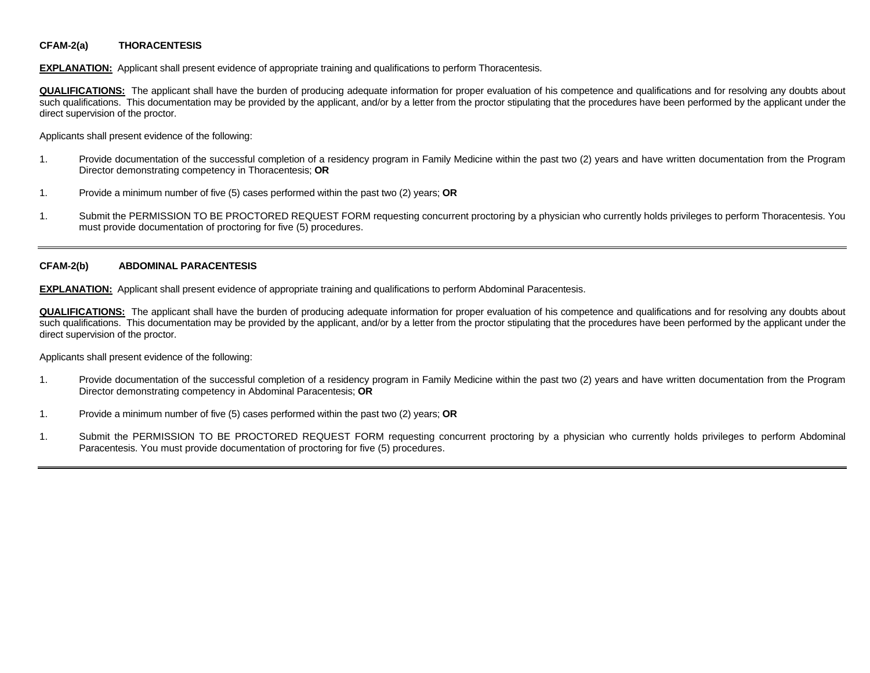#### **CFAM-2(a) THORACENTESIS**

**EXPLANATION:** Applicant shall present evidence of appropriate training and qualifications to perform Thoracentesis.

**QUALIFICATIONS:** The applicant shall have the burden of producing adequate information for proper evaluation of his competence and qualifications and for resolving any doubts about such qualifications. This documentation may be provided by the applicant, and/or by a letter from the proctor stipulating that the procedures have been performed by the applicant under the direct supervision of the proctor.

Applicants shall present evidence of the following:

- 1. Provide documentation of the successful completion of a residency program in Family Medicine within the past two (2) years and have written documentation from the Program Director demonstrating competency in Thoracentesis; **OR**
- 1. Provide a minimum number of five (5) cases performed within the past two (2) years; **OR**
- 1. Submit the PERMISSION TO BE PROCTORED REQUEST FORM requesting concurrent proctoring by a physician who currently holds privileges to perform Thoracentesis. You must provide documentation of proctoring for five (5) procedures.

#### **CFAM-2(b) ABDOMINAL PARACENTESIS**

**EXPLANATION:** Applicant shall present evidence of appropriate training and qualifications to perform Abdominal Paracentesis.

**QUALIFICATIONS:** The applicant shall have the burden of producing adequate information for proper evaluation of his competence and qualifications and for resolving any doubts about such qualifications. This documentation may be provided by the applicant, and/or by a letter from the proctor stipulating that the procedures have been performed by the applicant under the direct supervision of the proctor.

- 1. Provide documentation of the successful completion of a residency program in Family Medicine within the past two (2) years and have written documentation from the Program Director demonstrating competency in Abdominal Paracentesis; **OR**
- 1. Provide a minimum number of five (5) cases performed within the past two (2) years; **OR**
- 1. Submit the PERMISSION TO BE PROCTORED REQUEST FORM requesting concurrent proctoring by a physician who currently holds privileges to perform Abdominal Paracentesis. You must provide documentation of proctoring for five (5) procedures.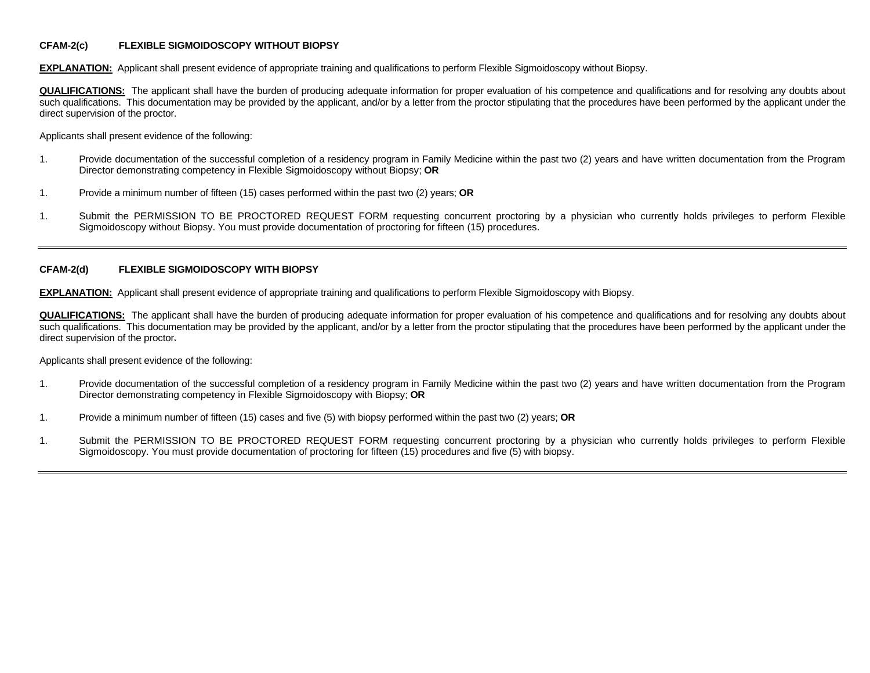#### **CFAM-2(c) FLEXIBLE SIGMOIDOSCOPY WITHOUT BIOPSY**

**EXPLANATION:** Applicant shall present evidence of appropriate training and qualifications to perform Flexible Sigmoidoscopy without Biopsy.

**QUALIFICATIONS:** The applicant shall have the burden of producing adequate information for proper evaluation of his competence and qualifications and for resolving any doubts about such qualifications. This documentation may be provided by the applicant, and/or by a letter from the proctor stipulating that the procedures have been performed by the applicant under the direct supervision of the proctor.

Applicants shall present evidence of the following:

- 1. Provide documentation of the successful completion of a residency program in Family Medicine within the past two (2) years and have written documentation from the Program Director demonstrating competency in Flexible Sigmoidoscopy without Biopsy; **OR**
- 1. Provide a minimum number of fifteen (15) cases performed within the past two (2) years; **OR**
- 1. Submit the PERMISSION TO BE PROCTORED REQUEST FORM requesting concurrent proctoring by a physician who currently holds privileges to perform Flexible Sigmoidoscopy without Biopsy. You must provide documentation of proctoring for fifteen (15) procedures.

#### **CFAM-2(d) FLEXIBLE SIGMOIDOSCOPY WITH BIOPSY**

**EXPLANATION:** Applicant shall present evidence of appropriate training and qualifications to perform Flexible Sigmoidoscopy with Biopsy.

**QUALIFICATIONS:** The applicant shall have the burden of producing adequate information for proper evaluation of his competence and qualifications and for resolving any doubts about such qualifications. This documentation may be provided by the applicant, and/or by a letter from the proctor stipulating that the procedures have been performed by the applicant under the direct supervision of the proctor.

- 1. Provide documentation of the successful completion of a residency program in Family Medicine within the past two (2) years and have written documentation from the Program Director demonstrating competency in Flexible Sigmoidoscopy with Biopsy; **OR**
- 1. Provide a minimum number of fifteen (15) cases and five (5) with biopsy performed within the past two (2) years; **OR**
- 1. Submit the PERMISSION TO BE PROCTORED REQUEST FORM requesting concurrent proctoring by a physician who currently holds privileges to perform Flexible Sigmoidoscopy. You must provide documentation of proctoring for fifteen (15) procedures and five (5) with biopsy.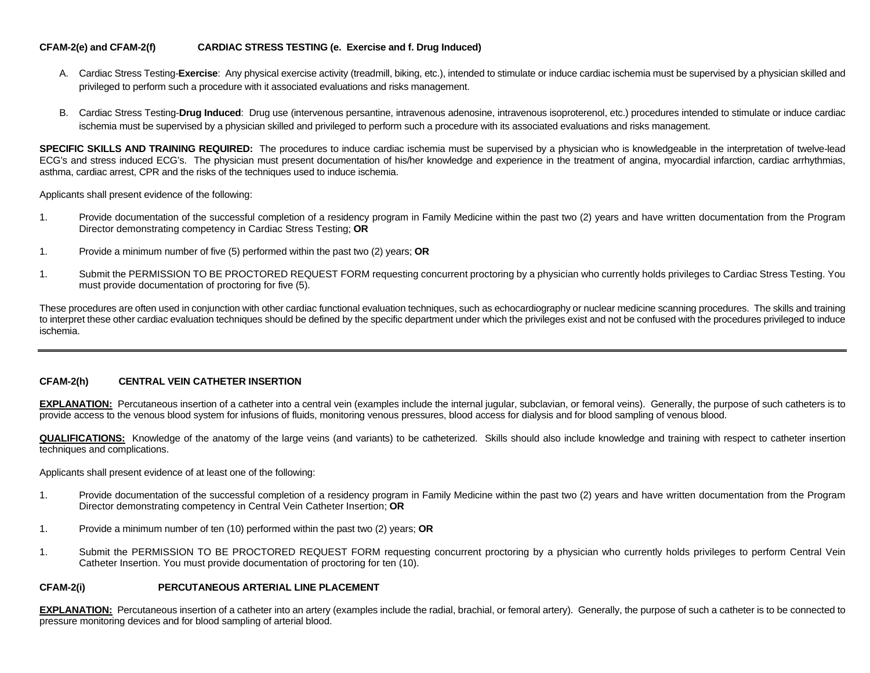### **CFAM-2(e) and CFAM-2(f) CARDIAC STRESS TESTING (e. Exercise and f. Drug Induced)**

- A. Cardiac Stress Testing-Exercise: Any physical exercise activity (treadmill, biking, etc.), intended to stimulate or induce cardiac ischemia must be supervised by a physician skilled and privileged to perform such a procedure with it associated evaluations and risks management.
- B. Cardiac Stress Testing-**Drug Induced**: Drug use (intervenous persantine, intravenous adenosine, intravenous isoproterenol, etc.) procedures intended to stimulate or induce cardiac ischemia must be supervised by a physician skilled and privileged to perform such a procedure with its associated evaluations and risks management.

**SPECIFIC SKILLS AND TRAINING REQUIRED:** The procedures to induce cardiac ischemia must be supervised by a physician who is knowledgeable in the interpretation of twelve-lead ECG's and stress induced ECG's. The physician must present documentation of his/her knowledge and experience in the treatment of angina, myocardial infarction, cardiac arrhythmias, asthma, cardiac arrest, CPR and the risks of the techniques used to induce ischemia.

Applicants shall present evidence of the following:

- 1. Provide documentation of the successful completion of a residency program in Family Medicine within the past two (2) years and have written documentation from the Program Director demonstrating competency in Cardiac Stress Testing; **OR**
- 1. Provide a minimum number of five (5) performed within the past two (2) years; **OR**
- 1. Submit the PERMISSION TO BE PROCTORED REQUEST FORM requesting concurrent proctoring by a physician who currently holds privileges to Cardiac Stress Testing. You must provide documentation of proctoring for five (5).

These procedures are often used in conjunction with other cardiac functional evaluation techniques, such as echocardiography or nuclear medicine scanning procedures. The skills and training to interpret these other cardiac evaluation techniques should be defined by the specific department under which the privileges exist and not be confused with the procedures privileged to induce ischemia.

## **CFAM-2(h) CENTRAL VEIN CATHETER INSERTION**

**EXPLANATION:** Percutaneous insertion of a catheter into a central vein (examples include the internal jugular, subclavian, or femoral veins). Generally, the purpose of such catheters is to provide access to the venous blood system for infusions of fluids, monitoring venous pressures, blood access for dialysis and for blood sampling of venous blood.

**QUALIFICATIONS:** Knowledge of the anatomy of the large veins (and variants) to be catheterized. Skills should also include knowledge and training with respect to catheter insertion techniques and complications.

Applicants shall present evidence of at least one of the following:

- 1. Provide documentation of the successful completion of a residency program in Family Medicine within the past two (2) years and have written documentation from the Program Director demonstrating competency in Central Vein Catheter Insertion; **OR**
- 1. Provide a minimum number of ten (10) performed within the past two (2) years; **OR**
- 1. Submit the PERMISSION TO BE PROCTORED REQUEST FORM requesting concurrent proctoring by a physician who currently holds privileges to perform Central Vein Catheter Insertion. You must provide documentation of proctoring for ten (10).

#### **CFAM-2(i) PERCUTANEOUS ARTERIAL LINE PLACEMENT**

**EXPLANATION:** Percutaneous insertion of a catheter into an artery (examples include the radial, brachial, or femoral artery). Generally, the purpose of such a catheter is to be connected to pressure monitoring devices and for blood sampling of arterial blood.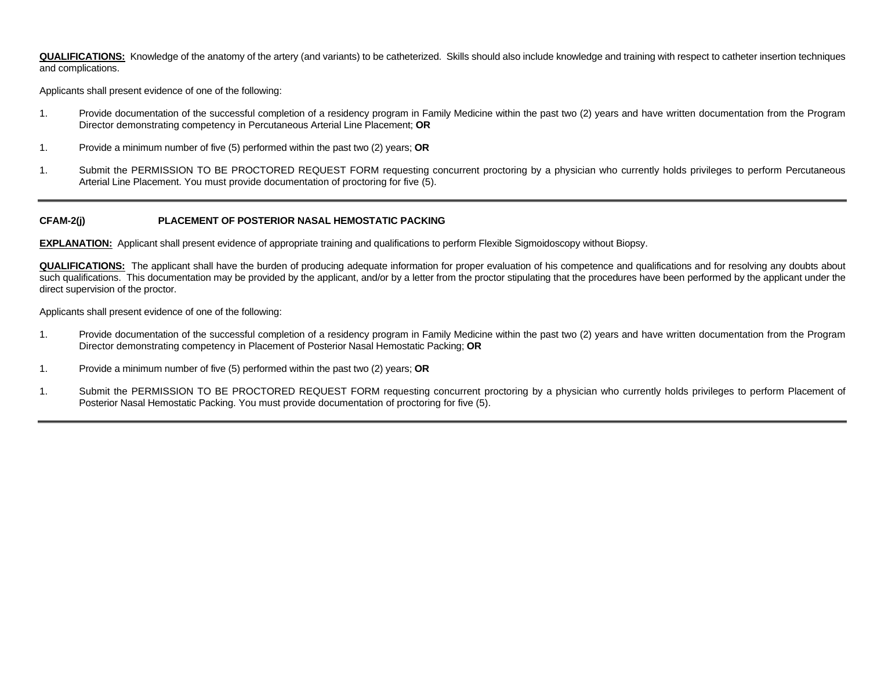**QUALIFICATIONS:** Knowledge of the anatomy of the artery (and variants) to be catheterized. Skills should also include knowledge and training with respect to catheter insertion techniques and complications.

Applicants shall present evidence of one of the following:

- 1. Provide documentation of the successful completion of a residency program in Family Medicine within the past two (2) years and have written documentation from the Program Director demonstrating competency in Percutaneous Arterial Line Placement; **OR**
- 1. Provide a minimum number of five (5) performed within the past two (2) years; **OR**
- 1. Submit the PERMISSION TO BE PROCTORED REQUEST FORM requesting concurrent proctoring by a physician who currently holds privileges to perform Percutaneous Arterial Line Placement. You must provide documentation of proctoring for five (5).

### **CFAM-2(j) PLACEMENT OF POSTERIOR NASAL HEMOSTATIC PACKING**

**EXPLANATION:** Applicant shall present evidence of appropriate training and qualifications to perform Flexible Sigmoidoscopy without Biopsy.

**QUALIFICATIONS:** The applicant shall have the burden of producing adequate information for proper evaluation of his competence and qualifications and for resolving any doubts about such qualifications. This documentation may be provided by the applicant, and/or by a letter from the proctor stipulating that the procedures have been performed by the applicant under the direct supervision of the proctor.

- 1. Provide documentation of the successful completion of a residency program in Family Medicine within the past two (2) years and have written documentation from the Program Director demonstrating competency in Placement of Posterior Nasal Hemostatic Packing; **OR**
- 1. Provide a minimum number of five (5) performed within the past two (2) years; **OR**
- 1. Submit the PERMISSION TO BE PROCTORED REQUEST FORM requesting concurrent proctoring by a physician who currently holds privileges to perform Placement of Posterior Nasal Hemostatic Packing. You must provide documentation of proctoring for five (5).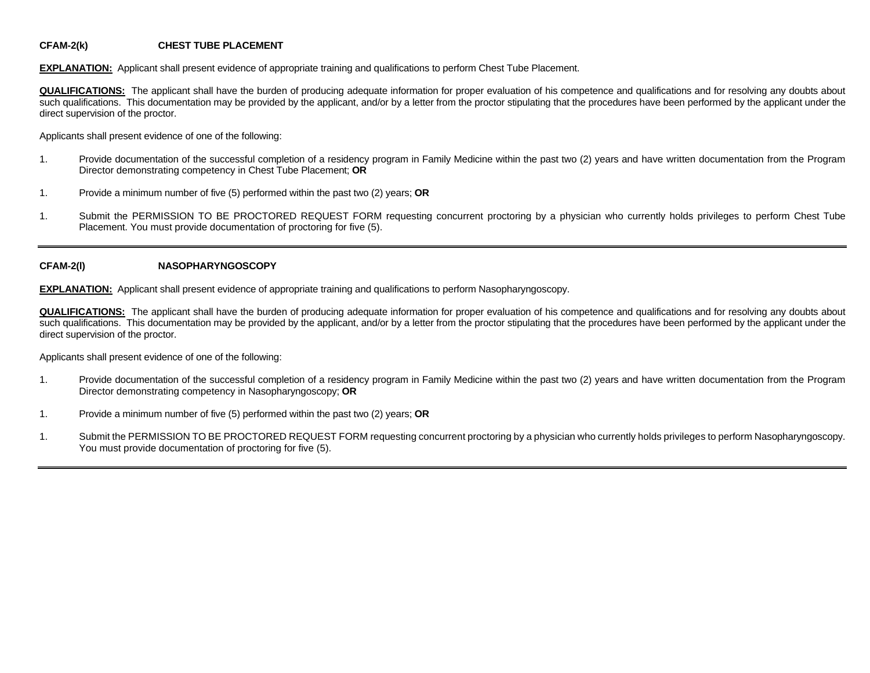# **CFAM-2(k) CHEST TUBE PLACEMENT**

**EXPLANATION:** Applicant shall present evidence of appropriate training and qualifications to perform Chest Tube Placement.

**QUALIFICATIONS:** The applicant shall have the burden of producing adequate information for proper evaluation of his competence and qualifications and for resolving any doubts about such qualifications. This documentation may be provided by the applicant, and/or by a letter from the proctor stipulating that the procedures have been performed by the applicant under the direct supervision of the proctor.

Applicants shall present evidence of one of the following:

- 1. Provide documentation of the successful completion of a residency program in Family Medicine within the past two (2) years and have written documentation from the Program Director demonstrating competency in Chest Tube Placement; **OR**
- 1. Provide a minimum number of five (5) performed within the past two (2) years; **OR**
- 1. Submit the PERMISSION TO BE PROCTORED REQUEST FORM requesting concurrent proctoring by a physician who currently holds privileges to perform Chest Tube Placement. You must provide documentation of proctoring for five (5).

#### **CFAM-2(l) NASOPHARYNGOSCOPY**

**EXPLANATION:** Applicant shall present evidence of appropriate training and qualifications to perform Nasopharyngoscopy.

**QUALIFICATIONS:** The applicant shall have the burden of producing adequate information for proper evaluation of his competence and qualifications and for resolving any doubts about such qualifications. This documentation may be provided by the applicant, and/or by a letter from the proctor stipulating that the procedures have been performed by the applicant under the direct supervision of the proctor.

- 1. Provide documentation of the successful completion of a residency program in Family Medicine within the past two (2) years and have written documentation from the Program Director demonstrating competency in Nasopharyngoscopy; **OR**
- 1. Provide a minimum number of five (5) performed within the past two (2) years; **OR**
- 1. Submit the PERMISSION TO BE PROCTORED REQUEST FORM requesting concurrent proctoring by a physician who currently holds privileges to perform Nasopharyngoscopy. You must provide documentation of proctoring for five (5).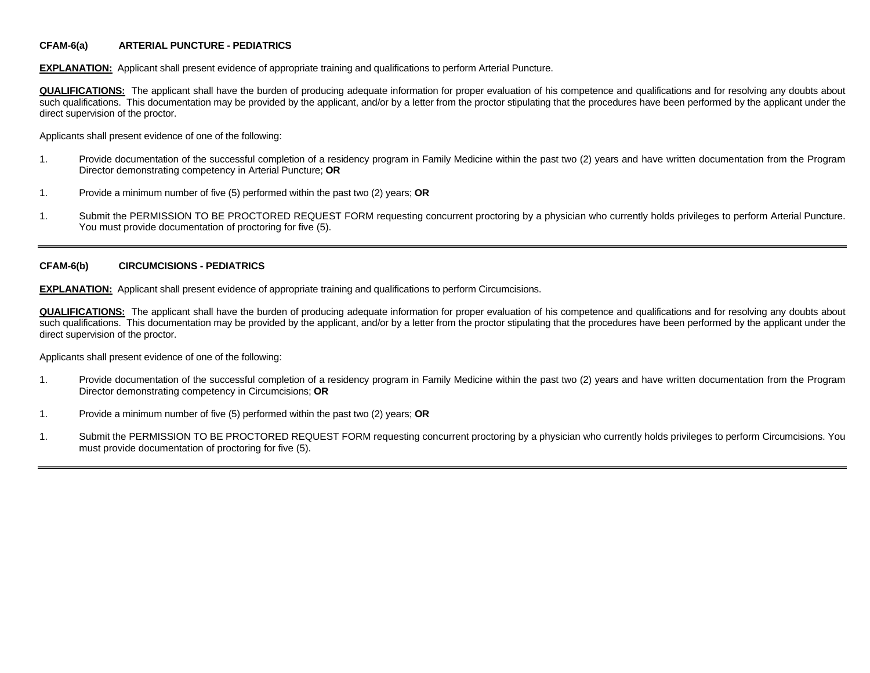### **CFAM-6(a) ARTERIAL PUNCTURE - PEDIATRICS**

**EXPLANATION:** Applicant shall present evidence of appropriate training and qualifications to perform Arterial Puncture.

**QUALIFICATIONS:** The applicant shall have the burden of producing adequate information for proper evaluation of his competence and qualifications and for resolving any doubts about such qualifications. This documentation may be provided by the applicant, and/or by a letter from the proctor stipulating that the procedures have been performed by the applicant under the direct supervision of the proctor.

Applicants shall present evidence of one of the following:

- 1. Provide documentation of the successful completion of a residency program in Family Medicine within the past two (2) years and have written documentation from the Program Director demonstrating competency in Arterial Puncture; **OR**
- 1. Provide a minimum number of five (5) performed within the past two (2) years; **OR**
- 1. Submit the PERMISSION TO BE PROCTORED REQUEST FORM requesting concurrent proctoring by a physician who currently holds privileges to perform Arterial Puncture. You must provide documentation of proctoring for five (5).

#### **CFAM-6(b) CIRCUMCISIONS - PEDIATRICS**

**EXPLANATION:** Applicant shall present evidence of appropriate training and qualifications to perform Circumcisions.

**QUALIFICATIONS:** The applicant shall have the burden of producing adequate information for proper evaluation of his competence and qualifications and for resolving any doubts about such qualifications. This documentation may be provided by the applicant, and/or by a letter from the proctor stipulating that the procedures have been performed by the applicant under the direct supervision of the proctor.

- 1. Provide documentation of the successful completion of a residency program in Family Medicine within the past two (2) years and have written documentation from the Program Director demonstrating competency in Circumcisions; **OR**
- 1. Provide a minimum number of five (5) performed within the past two (2) years; **OR**
- 1. Submit the PERMISSION TO BE PROCTORED REQUEST FORM requesting concurrent proctoring by a physician who currently holds privileges to perform Circumcisions. You must provide documentation of proctoring for five (5).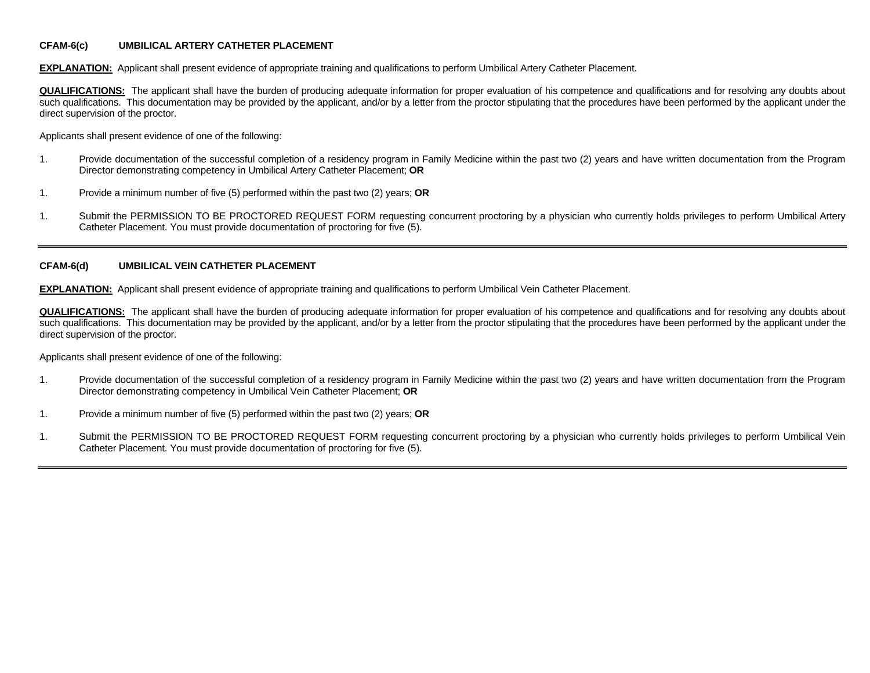#### **CFAM-6(c) UMBILICAL ARTERY CATHETER PLACEMENT**

**EXPLANATION:** Applicant shall present evidence of appropriate training and qualifications to perform Umbilical Artery Catheter Placement.

**QUALIFICATIONS:** The applicant shall have the burden of producing adequate information for proper evaluation of his competence and qualifications and for resolving any doubts about such qualifications. This documentation may be provided by the applicant, and/or by a letter from the proctor stipulating that the procedures have been performed by the applicant under the direct supervision of the proctor.

Applicants shall present evidence of one of the following:

- 1. Provide documentation of the successful completion of a residency program in Family Medicine within the past two (2) years and have written documentation from the Program Director demonstrating competency in Umbilical Artery Catheter Placement; **OR**
- 1. Provide a minimum number of five (5) performed within the past two (2) years; **OR**
- 1. Submit the PERMISSION TO BE PROCTORED REQUEST FORM requesting concurrent proctoring by a physician who currently holds privileges to perform Umbilical Artery Catheter Placement. You must provide documentation of proctoring for five (5).

#### **CFAM-6(d) UMBILICAL VEIN CATHETER PLACEMENT**

**EXPLANATION:** Applicant shall present evidence of appropriate training and qualifications to perform Umbilical Vein Catheter Placement.

**QUALIFICATIONS:** The applicant shall have the burden of producing adequate information for proper evaluation of his competence and qualifications and for resolving any doubts about such qualifications. This documentation may be provided by the applicant, and/or by a letter from the proctor stipulating that the procedures have been performed by the applicant under the direct supervision of the proctor.

- 1. Provide documentation of the successful completion of a residency program in Family Medicine within the past two (2) years and have written documentation from the Program Director demonstrating competency in Umbilical Vein Catheter Placement; **OR**
- 1. Provide a minimum number of five (5) performed within the past two (2) years; **OR**
- 1. Submit the PERMISSION TO BE PROCTORED REQUEST FORM requesting concurrent proctoring by a physician who currently holds privileges to perform Umbilical Vein Catheter Placement. You must provide documentation of proctoring for five (5).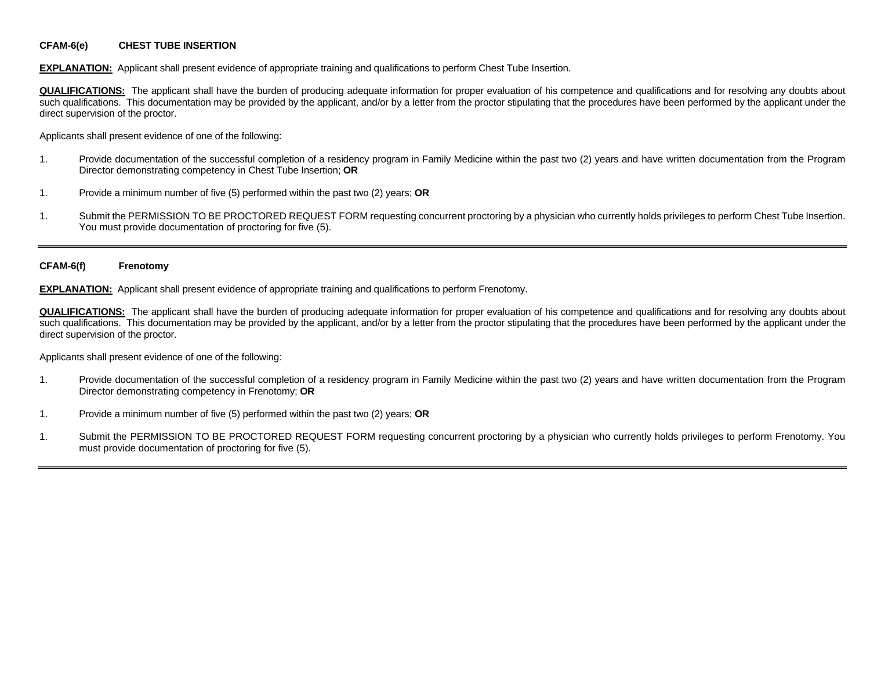### **CFAM-6(e) CHEST TUBE INSERTION**

**EXPLANATION:** Applicant shall present evidence of appropriate training and qualifications to perform Chest Tube Insertion.

**QUALIFICATIONS:** The applicant shall have the burden of producing adequate information for proper evaluation of his competence and qualifications and for resolving any doubts about such qualifications. This documentation may be provided by the applicant, and/or by a letter from the proctor stipulating that the procedures have been performed by the applicant under the direct supervision of the proctor.

Applicants shall present evidence of one of the following:

- 1. Provide documentation of the successful completion of a residency program in Family Medicine within the past two (2) years and have written documentation from the Program Director demonstrating competency in Chest Tube Insertion; **OR**
- 1. Provide a minimum number of five (5) performed within the past two (2) years; **OR**
- 1. Submit the PERMISSION TO BE PROCTORED REQUEST FORM requesting concurrent proctoring by a physician who currently holds privileges to perform Chest Tube Insertion. You must provide documentation of proctoring for five (5).

#### **CFAM-6(f) Frenotomy**

**EXPLANATION:** Applicant shall present evidence of appropriate training and qualifications to perform Frenotomy.

**QUALIFICATIONS:** The applicant shall have the burden of producing adequate information for proper evaluation of his competence and qualifications and for resolving any doubts about such qualifications. This documentation may be provided by the applicant, and/or by a letter from the proctor stipulating that the procedures have been performed by the applicant under the direct supervision of the proctor.

- 1. Provide documentation of the successful completion of a residency program in Family Medicine within the past two (2) years and have written documentation from the Program Director demonstrating competency in Frenotomy; **OR**
- 1. Provide a minimum number of five (5) performed within the past two (2) years; **OR**
- 1. Submit the PERMISSION TO BE PROCTORED REQUEST FORM requesting concurrent proctoring by a physician who currently holds privileges to perform Frenotomy. You must provide documentation of proctoring for five (5).